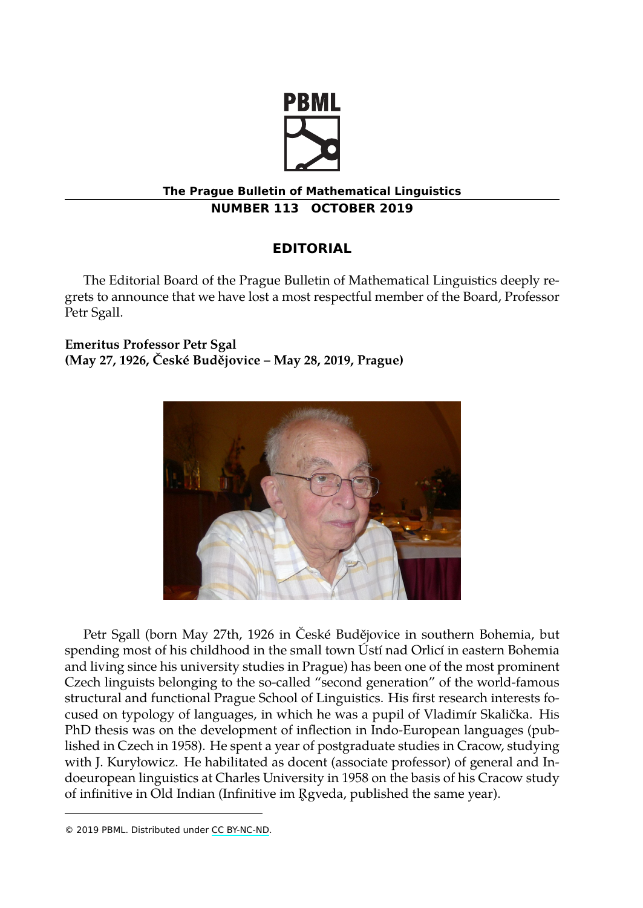

## **The Prague Bulletin of Mathematical Linguistics NUMBER 113 OCTOBER 2019**

## **EDITORIAL**

The Editorial Board of the Prague Bulletin of Mathematical Linguistics deeply regrets to announce that we have lost a most respectful member of the Board, Professor Petr Sgall.

**Emeritus Professor Petr Sgal (May 27, 1926, České Budějovice – May 28, 2019, Prague)**



Petr Sgall (born May 27th, 1926 in České Budějovice in southern Bohemia, but spending most of his childhood in the small town Ústí nad Orlicí in eastern Bohemia and living since his university studies in Prague) has been one of the most prominent Czech linguists belongin[g to the so](http://creativecommons.org/licenses/by-nc-nd/3.0/)-called "second generation" of the world-famous structural and functional Prague School of Linguistics. His first research interests focused on typology of languages, in which he was a pupil of Vladimír Skalička. His PhD thesis was on the development of inflection in Indo-European languages (published in Czech in 1958). He spent a year of postgraduate studies in Cracow, studying with J. Kuryłowicz. He habilitated as docent (associate professor) of general and Indoeuropean linguistics at Charles University in 1958 on the basis of his Cracow study of infinitive in Old Indian (Infinitive im R ̊ gveda, published the same year).

<sup>© 2019</sup> PBML. Distributed under CC BY-NC-ND.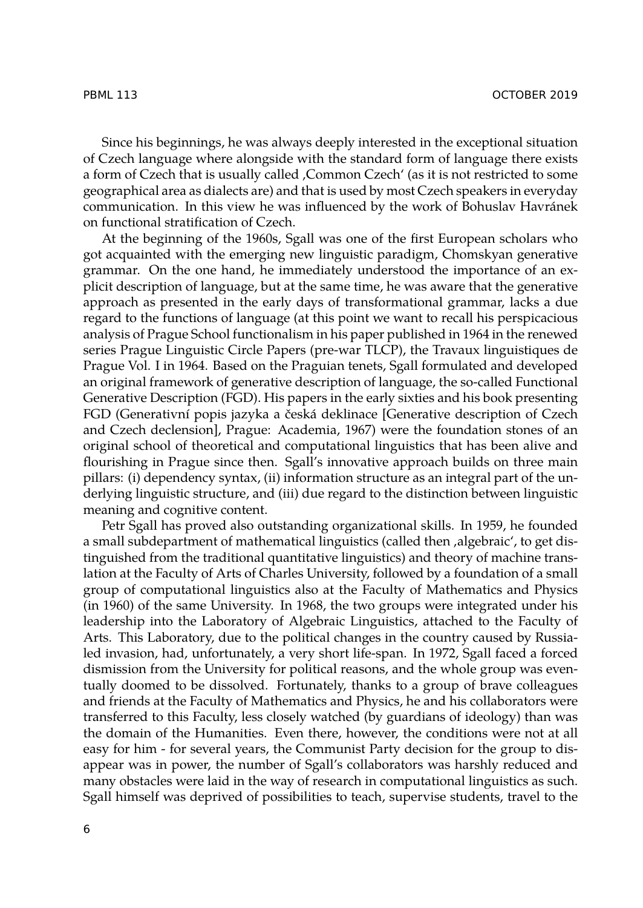Since his beginnings, he was always deeply interested in the exceptional situation of Czech language where alongside with the standard form of language there exists a form of Czech that is usually called , Common Czech' (as it is not restricted to some geographical area as dialects are) and that is used by most Czech speakers in everyday communication. In this view he was influenced by the work of Bohuslav Havránek on functional stratification of Czech.

At the beginning of the 1960s, Sgall was one of the first European scholars who got acquainted with the emerging new linguistic paradigm, Chomskyan generative grammar. On the one hand, he immediately understood the importance of an explicit description of language, but at the same time, he was aware that the generative approach as presented in the early days of transformational grammar, lacks a due regard to the functions of language (at this point we want to recall his perspicacious analysis of Prague School functionalism in his paper published in 1964 in the renewed series Prague Linguistic Circle Papers (pre-war TLCP), the Travaux linguistiques de Prague Vol. I in 1964. Based on the Praguian tenets, Sgall formulated and developed an original framework of generative description of language, the so-called Functional Generative Description (FGD). His papers in the early sixties and his book presenting FGD (Generativní popis jazyka a česká deklinace [Generative description of Czech and Czech declension], Prague: Academia, 1967) were the foundation stones of an original school of theoretical and computational linguistics that has been alive and flourishing in Prague since then. Sgall's innovative approach builds on three main pillars: (i) dependency syntax, (ii) information structure as an integral part of the underlying linguistic structure, and (iii) due regard to the distinction between linguistic meaning and cognitive content.

Petr Sgall has proved also outstanding organizational skills. In 1959, he founded a small subdepartment of mathematical linguistics (called then , algebraic', to get distinguished from the traditional quantitative linguistics) and theory of machine translation at the Faculty of Arts of Charles University, followed by a foundation of a small group of computational linguistics also at the Faculty of Mathematics and Physics (in 1960) of the same University. In 1968, the two groups were integrated under his leadership into the Laboratory of Algebraic Linguistics, attached to the Faculty of Arts. This Laboratory, due to the political changes in the country caused by Russialed invasion, had, unfortunately, a very short life-span. In 1972, Sgall faced a forced dismission from the University for political reasons, and the whole group was eventually doomed to be dissolved. Fortunately, thanks to a group of brave colleagues and friends at the Faculty of Mathematics and Physics, he and his collaborators were transferred to this Faculty, less closely watched (by guardians of ideology) than was the domain of the Humanities. Even there, however, the conditions were not at all easy for him - for several years, the Communist Party decision for the group to disappear was in power, the number of Sgall's collaborators was harshly reduced and many obstacles were laid in the way of research in computational linguistics as such. Sgall himself was deprived of possibilities to teach, supervise students, travel to the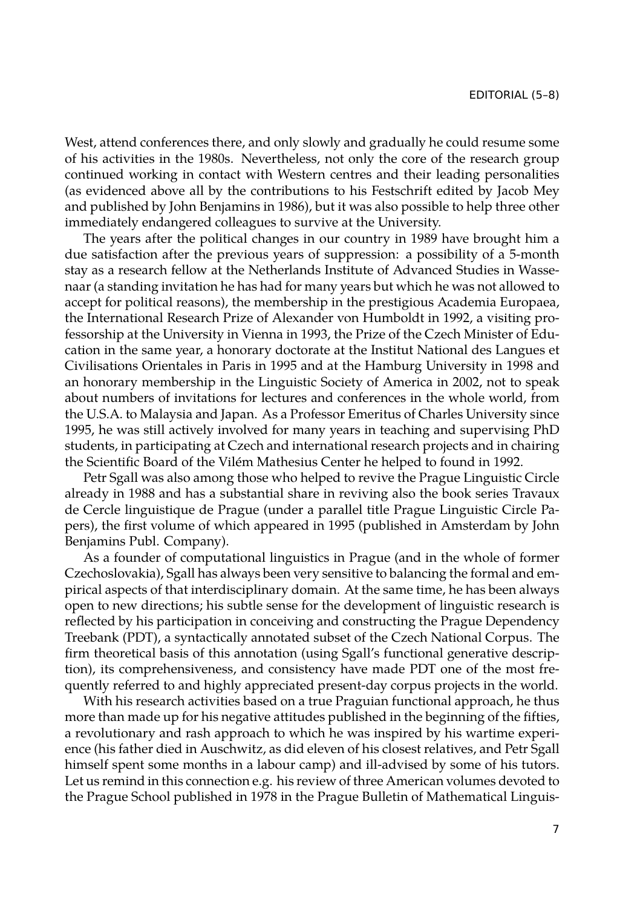West, attend conferences there, and only slowly and gradually he could resume some of his activities in the 1980s. Nevertheless, not only the core of the research group continued working in contact with Western centres and their leading personalities (as evidenced above all by the contributions to his Festschrift edited by Jacob Mey and published by John Benjamins in 1986), but it was also possible to help three other immediately endangered colleagues to survive at the University.

The years after the political changes in our country in 1989 have brought him a due satisfaction after the previous years of suppression: a possibility of a 5-month stay as a research fellow at the Netherlands Institute of Advanced Studies in Wassenaar (a standing invitation he has had for many years but which he was not allowed to accept for political reasons), the membership in the prestigious Academia Europaea, the International Research Prize of Alexander von Humboldt in 1992, a visiting professorship at the University in Vienna in 1993, the Prize of the Czech Minister of Education in the same year, a honorary doctorate at the Institut National des Langues et Civilisations Orientales in Paris in 1995 and at the Hamburg University in 1998 and an honorary membership in the Linguistic Society of America in 2002, not to speak about numbers of invitations for lectures and conferences in the whole world, from the U.S.A. to Malaysia and Japan. As a Professor Emeritus of Charles University since 1995, he was still actively involved for many years in teaching and supervising PhD students, in participating at Czech and international research projects and in chairing the Scientific Board of the Vilém Mathesius Center he helped to found in 1992.

Petr Sgall was also among those who helped to revive the Prague Linguistic Circle already in 1988 and has a substantial share in reviving also the book series Travaux de Cercle linguistique de Prague (under a parallel title Prague Linguistic Circle Papers), the first volume of which appeared in 1995 (published in Amsterdam by John Benjamins Publ. Company).

As a founder of computational linguistics in Prague (and in the whole of former Czechoslovakia), Sgall has always been very sensitive to balancing the formal and empirical aspects of that interdisciplinary domain. At the same time, he has been always open to new directions; his subtle sense for the development of linguistic research is reflected by his participation in conceiving and constructing the Prague Dependency Treebank (PDT), a syntactically annotated subset of the Czech National Corpus. The firm theoretical basis of this annotation (using Sgall's functional generative description), its comprehensiveness, and consistency have made PDT one of the most frequently referred to and highly appreciated present-day corpus projects in the world.

With his research activities based on a true Praguian functional approach, he thus more than made up for his negative attitudes published in the beginning of the fifties, a revolutionary and rash approach to which he was inspired by his wartime experience (his father died in Auschwitz, as did eleven of his closest relatives, and Petr Sgall himself spent some months in a labour camp) and ill-advised by some of his tutors. Let us remind in this connection e.g. his review of three American volumes devoted to the Prague School published in 1978 in the Prague Bulletin of Mathematical Linguis-